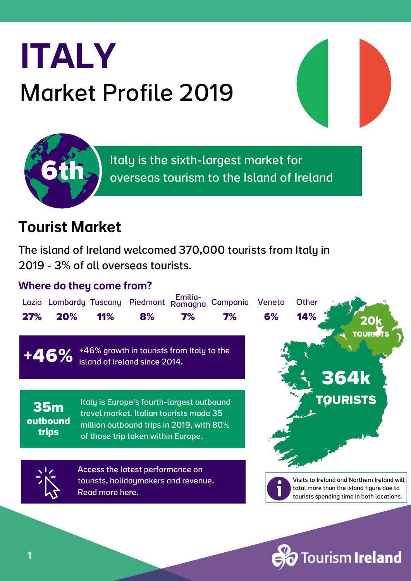

Italy is the sixth-largest market for overseas tourism to the Island of Ireland

#### Tourist Market

**6th**

The island of Ireland welcomed 370,000 tourists from Italy in 2019 - 3% of all overseas tourists.

#### Where do they come from?



**Fourism Ireland**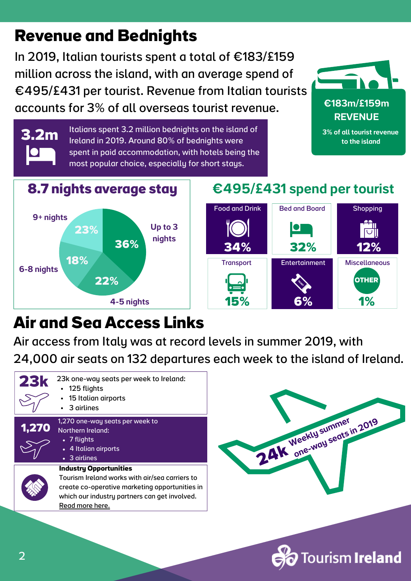# **Revenue and Bednights**

In 2019, Italian tourists spent a total of €183/£159 million across the island, with an average spend of €495/£431 per tourist. Revenue from Italian tourists accounts for 3% of all overseas tourist revenue.



€183m/£159m REVENUE

Italians spent 3.2 million bednights on the island of **3.2m** Italians spent 3.2 million beamgnts on the island of the state of the state of the island in 2019. Around 80% of bednights were spent in paid accommodation, with hotels being the most popular choice, especially for short stays.



**.2m**

#### €495/£431 spend per tourist



# **Air and Sea Access Links**

4-5 nights

Air access from Italy was at record levels in summer 2019, with 24,000 air seats on 132 departures each week to the island of Ireland.





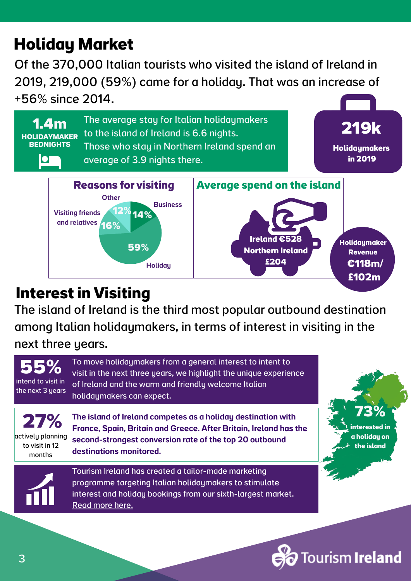# **Holiday Market**

Of the 370,000 Italian tourists who visited the island of Ireland in 2019, 219,000 (59%) came for a holiday. That was an increase of +56% since 2014.



#### **Interest in Visiting**

The island of Ireland is the third most popular outbound destination among Italian holidaymakers, in terms of interest in visiting in the

next three years.

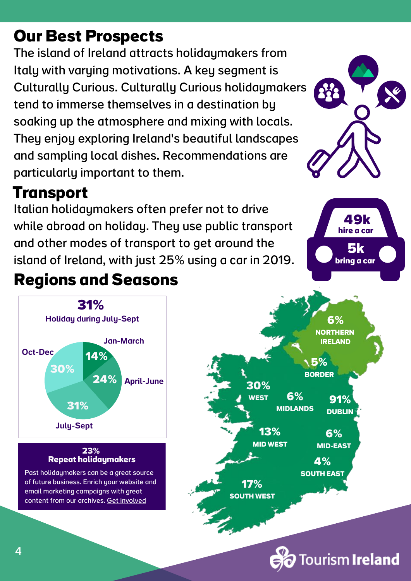# **Our Best Prospects**

The island of Ireland attracts holidaymakers from Italy with varying motivations. A key segment is Culturally Curious. Culturally Curious holidaymakers tend to immerse themselves in a destination by soaking up the atmosphere and mixing with locals. They enjoy exploring Ireland's beautiful landscapes and sampling local dishes. Recommendations are particularly important to them.

### **Transport**

Italian holidaymakers often prefer not to drive while abroad on holiday. They use public transport and other modes of transport to get around the island of Ireland, with just 25% using a car in 2019.

# **Regions and Seasons**



content from our archives. Get [involved](https://www.irelandscontentpool.com/)





**49k hire a car 5k bring a car**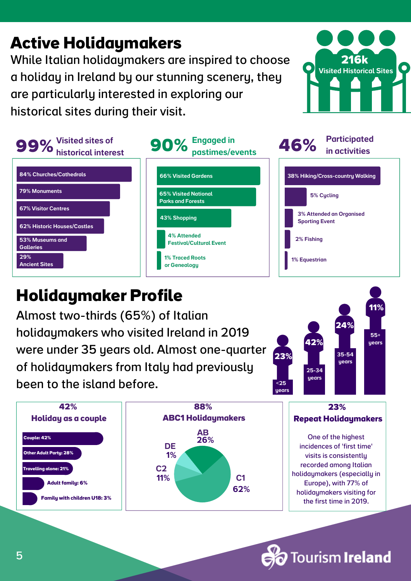# **Active Holidaymakers**

While Italian holidaymakers are inspired to choose a holiday in Ireland by our stunning scenery, they are particularly interested in exploring our historical sites during their visit.





## **Holidaymaker Profile**

Almost two-thirds (65%) of Italian holidaymakers who visited Ireland in 2019 were under 35 years old. Almost one-quarter of holidaymakers from Italy had previously been to the island before.





**Tourism Ireland**